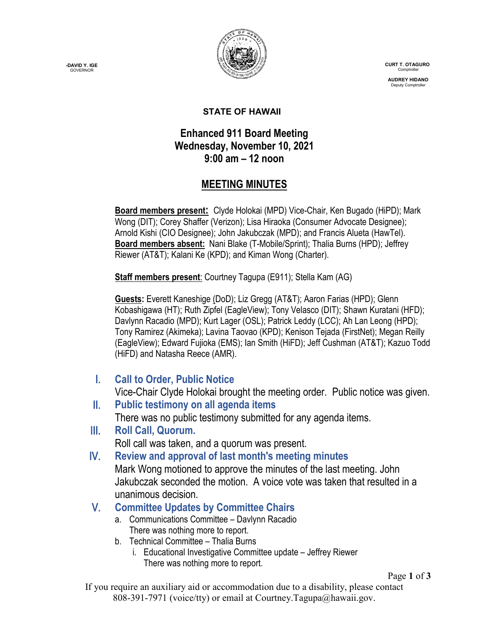**-DAVID Y. IGE GOVERNOR** 



 **CURT T. OTAGURO** Comptrol

**AUDREY HIDANO** Deputy Comptroll

#### **STATE OF HAWAII**

#### **Enhanced 911 Board Meeting Wednesday, November 10, 2021 9:00 am – 12 noon**

## **MEETING MINUTES**

**Board members present:** Clyde Holokai (MPD) Vice-Chair, Ken Bugado (HiPD); Mark Wong (DIT); Corey Shaffer (Verizon); Lisa Hiraoka (Consumer Advocate Designee); Arnold Kishi (CIO Designee); John Jakubczak (MPD); and Francis Alueta (HawTel). **Board members absent:** Nani Blake (T-Mobile/Sprint); Thalia Burns (HPD); Jeffrey Riewer (AT&T); Kalani Ke (KPD); and Kiman Wong (Charter).

**Staff members present**: Courtney Tagupa (E911); Stella Kam (AG)

**Guests:** Everett Kaneshige (DoD); Liz Gregg (AT&T); Aaron Farias (HPD); Glenn Kobashigawa (HT); Ruth Zipfel (EagleView); Tony Velasco (DIT); Shawn Kuratani (HFD); Davlynn Racadio (MPD); Kurt Lager (OSL); Patrick Leddy (LCC); Ah Lan Leong (HPD); Tony Ramirez (Akimeka); Lavina Taovao (KPD); Kenison Tejada (FirstNet); Megan Reilly (EagleView); Edward Fujioka (EMS); Ian Smith (HiFD); Jeff Cushman (AT&T); Kazuo Todd (HiFD) and Natasha Reece (AMR).

I. **Call to Order, Public Notice**

Vice-Chair Clyde Holokai brought the meeting order. Public notice was given.

- II. **Public testimony on all agenda items** There was no public testimony submitted for any agenda items.
- III. **Roll Call, Quorum.** Roll call was taken, and a quorum was present.
- IV. **Review and approval of last month's meeting minutes** Mark Wong motioned to approve the minutes of the last meeting. John Jakubczak seconded the motion. A voice vote was taken that resulted in a unanimous decision.
- V. **Committee Updates by Committee Chairs**
	- a. Communications Committee Davlynn Racadio There was nothing more to report.
	- b. Technical Committee Thalia Burns
		- i. Educational Investigative Committee update Jeffrey Riewer There was nothing more to report.

Page **1** of **3**

If you require an auxiliary aid or accommodation due to a disability, please contact 808-391-7971 (voice/tty) or email at Courtney.Tagupa@hawaii.gov.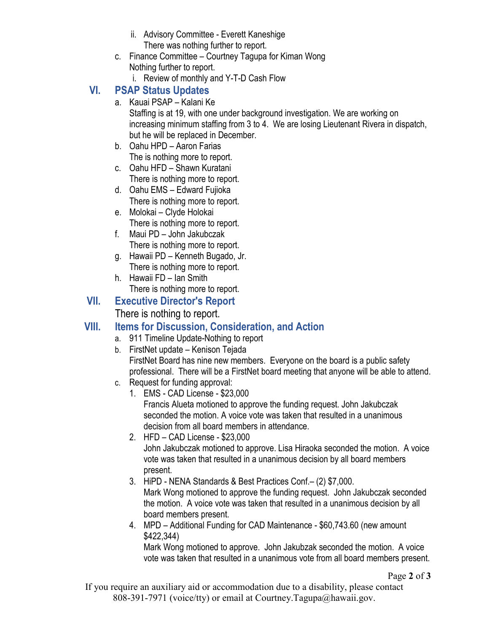- ii. Advisory Committee Everett Kaneshige There was nothing further to report.
- c. Finance Committee Courtney Tagupa for Kiman Wong Nothing further to report.
	- i. Review of monthly and Y-T-D Cash Flow

## **VI. PSAP Status Updates**

a. Kauai PSAP – Kalani Ke

Staffing is at 19, with one under background investigation. We are working on increasing minimum staffing from 3 to 4. We are losing Lieutenant Rivera in dispatch, but he will be replaced in December.

- b. Oahu HPD Aaron Farias The is nothing more to report.
- c. Oahu HFD Shawn Kuratani There is nothing more to report.
- d. Oahu EMS Edward Fujioka There is nothing more to report.
- e. Molokai Clyde Holokai There is nothing more to report.
- f. Maui PD John Jakubczak There is nothing more to report.
- g. Hawaii PD Kenneth Bugado, Jr. There is nothing more to report.
- h. Hawaii FD Ian Smith There is nothing more to report.

## **VII. Executive Director's Report**

There is nothing to report.

# **VIII. Items for Discussion, Consideration, and Action**

- a. 911 Timeline Update-Nothing to report
- b. FirstNet update Kenison Tejada FirstNet Board has nine new members. Everyone on the board is a public safety professional. There will be a FirstNet board meeting that anyone will be able to attend.
- c. Request for funding approval:
	- 1. EMS CAD License \$23,000

Francis Alueta motioned to approve the funding request. John Jakubczak seconded the motion. A voice vote was taken that resulted in a unanimous decision from all board members in attendance.

- 2. HFD CAD License \$23,000 John Jakubczak motioned to approve. Lisa Hiraoka seconded the motion. A voice vote was taken that resulted in a unanimous decision by all board members present.
- 3. HiPD NENA Standards & Best Practices Conf.– (2) \$7,000. Mark Wong motioned to approve the funding request. John Jakubczak seconded the motion. A voice vote was taken that resulted in a unanimous decision by all board members present.
- 4. MPD Additional Funding for CAD Maintenance \$60,743.60 (new amount \$422,344)

Mark Wong motioned to approve. John Jakubzak seconded the motion. A voice vote was taken that resulted in a unanimous vote from all board members present.

If you require an auxiliary aid or accommodation due to a disability, please contact 808-391-7971 (voice/tty) or email at Courtney.Tagupa@hawaii.gov.